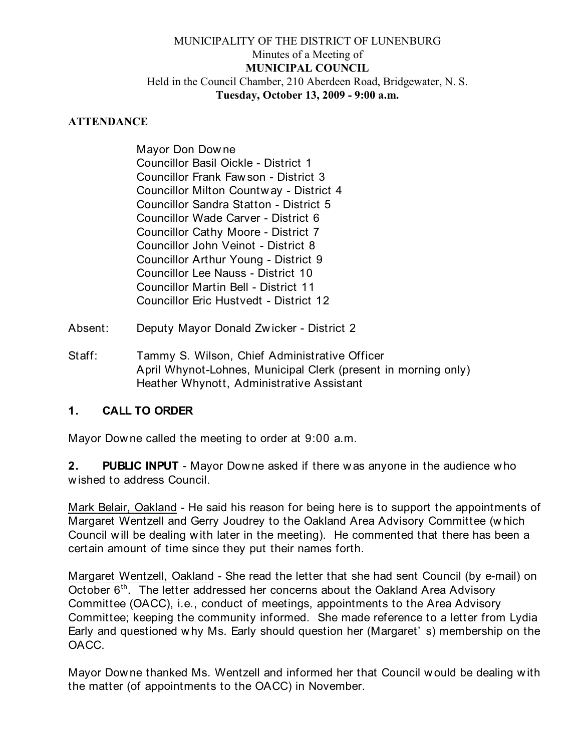# MUNICIPALITY OF THE DISTRICT OF LUNENBURG Minutes of a Meeting of **MUNICIPAL COUNCIL** Held in the Council Chamber, 210 Aberdeen Road, Bridgewater, N. S. **Tuesday, October 13, 2009 - 9:00 a.m.**

## **ATTENDANCE**

Mayor Don Dow ne Councillor Basil Oickle - District 1 Councillor Frank Faw son - District 3 Councillor Milton Countw ay - District 4 Councillor Sandra Statton - District 5 Councillor Wade Carver - District 6 Councillor Cathy Moore - District 7 Councillor John Veinot - District 8 Councillor Arthur Young - District 9 Councillor Lee Nauss - District 10 Councillor Martin Bell - District 11 Councillor Eric Hustvedt - District 12

- Absent: Deputy Mayor Donald Zw icker District 2
- Staff: Tammy S. Wilson, Chief Administrative Officer April Whynot-Lohnes, Municipal Clerk (present in morning only) Heather Whynott, Administrative Assistant

## **1. CALL TO ORDER**

Mayor Dow ne called the meeting to order at 9:00 a.m.

**2. PUBLIC INPUT** - Mayor Dow ne asked if there w as anyone in the audience w ho w ished to address Council.

Mark Belair, Oakland - He said his reason for being here is to support the appointments of Margaret Wentzell and Gerry Joudrey to the Oakland Area Advisory Committee (w hich Council w ill be dealing w ith later in the meeting). He commented that there has been a certain amount of time since they put their names forth.

Margaret Wentzell, Oakland - She read the letter that she had sent Council (by e-mail) on October  $6<sup>th</sup>$ . The letter addressed her concerns about the Oakland Area Advisory Committee (OACC), i.e., conduct of meetings, appointments to the Area Advisory Committee; keeping the community informed. She made reference to a letter from Lydia Early and questioned why Ms. Early should question her (Margaret' s) membership on the OACC.

Mayor Downe thanked Ms. Wentzell and informed her that Council w ould be dealing w ith the matter (of appointments to the OACC) in November.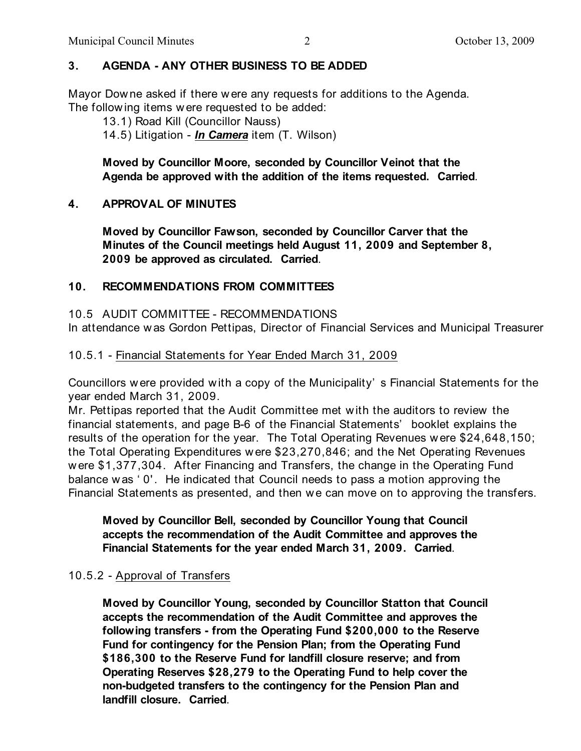# **3. AGENDA - ANY OTHER BUSINESS TO BE ADDED**

Mayor Dow ne asked if there were any requests for additions to the Agenda. The follow ing items w ere requested to be added:

13.1) Road Kill (Councillor Nauss)

14.5) Litigation - *In Camera* item (T. Wilson)

**Moved by Councillor Moore, seconded by Councillor Veinot that the Agenda be approved with the addition of the items requested. Carried**.

# **4. APPROVAL OF MINUTES**

**Moved by Councillor Fawson, seconded by Councillor Carver that the Minutes of the Council meetings held August 11, 2009 and September 8, 2009 be approved as circulated. Carried**.

# **10. RECOMMENDATIONS FROM COMMITTEES**

## 10.5 AUDIT COMMITTEE - RECOMMENDATIONS

In attendance was Gordon Pettipas, Director of Financial Services and Municipal Treasurer

# 10.5.1 - Financial Statements for Year Ended March 31, 2009

Councillors w ere provided with a copy of the Municipality' s Financial Statements for the year ended March 31, 2009.

Mr. Pettipas reported that the Audit Committee met with the auditors to review the financial statements, and page B-6 of the Financial Statements' booklet explains the results of the operation for the year. The Total Operating Revenues w ere \$24,648,150; the Total Operating Expenditures w ere \$23,270,846; and the Net Operating Revenues w ere \$1,377,304. After Financing and Transfers, the change in the Operating Fund balance w as ' 0' . He indicated that Council needs to pass a motion approving the Financial Statements as presented, and then w e can move on to approving the transfers.

**Moved by Councillor Bell, seconded by Councillor Young that Council accepts the recommendation of the Audit Committee and approves the Financial Statements for the year ended March 31, 2009. Carried**.

## 10.5.2 - Approval of Transfers

**Moved by Councillor Young, seconded by Councillor Statton that Council accepts the recommendation of the Audit Committee and approves the following transfers - from the Operating Fund \$200,000 to the Reserve Fund for contingency for the Pension Plan; from the Operating Fund \$186,300 to the Reserve Fund for landfill closure reserve; and from Operating Reserves \$28,279 to the Operating Fund to help cover the non-budgeted transfers to the contingency for the Pension Plan and landfill closure. Carried**.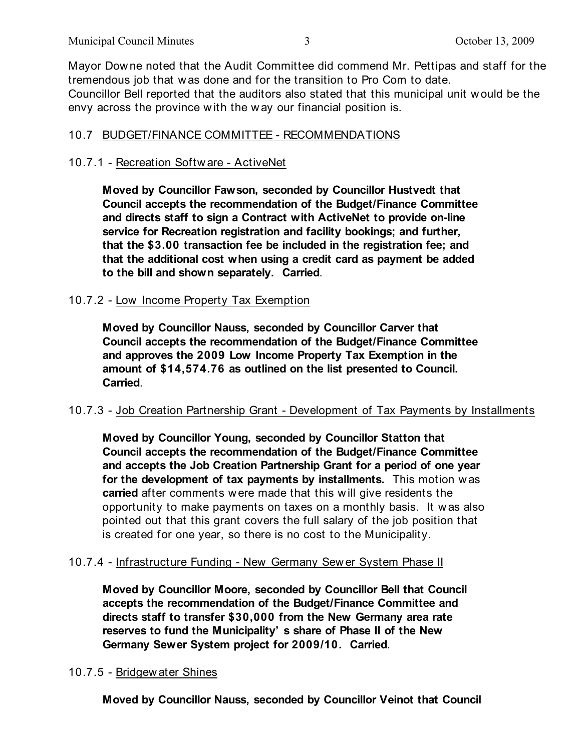Mayor Dow ne noted that the Audit Committee did commend Mr. Pettipas and staff for the tremendous job that w as done and for the transition to Pro Com to date. Councillor Bell reported that the auditors also stated that this municipal unit w ould be the envy across the province w ith the w ay our financial position is.

# 10.7 BUDGET/FINANCE COMMITTEE - RECOMMENDATIONS

## 10.7.1 - Recreation Softw are - ActiveNet

**Moved by Councillor Fawson, seconded by Councillor Hustvedt that Council accepts the recommendation of the Budget/Finance Committee and directs staff to sign a Contract with ActiveNet to provide on-line service for Recreation registration and facility bookings; and further, that the \$3.00 transaction fee be included in the registration fee; and that the additional cost when using a credit card as payment be added to the bill and shown separately. Carried**.

## 10.7.2 - Low Income Property Tax Exemption

**Moved by Councillor Nauss, seconded by Councillor Carver that Council accepts the recommendation of the Budget/Finance Committee and approves the 2009 Low Income Property Tax Exemption in the amount of \$14,574.76 as outlined on the list presented to Council. Carried**.

## 10.7.3 - Job Creation Partnership Grant - Development of Tax Payments by Installments

**Moved by Councillor Young, seconded by Councillor Statton that Council accepts the recommendation of the Budget/Finance Committee and accepts the Job Creation Partnership Grant for a period of one year for the development of tax payments by installments.** This motion w as **carried** after comments w ere made that this w ill give residents the opportunity to make payments on taxes on a monthly basis. It w as also pointed out that this grant covers the full salary of the job position that is created for one year, so there is no cost to the Municipality.

#### 10.7.4 - Infrastructure Funding - New Germany Sew er System Phase II

**Moved by Councillor Moore, seconded by Councillor Bell that Council accepts the recommendation of the Budget/Finance Committee and directs staff to transfer \$30,000 from the New Germany area rate reserves to fund the Municipality' s share of Phase II of the New Germany Sewer System project for 2009/10. Carried**.

#### 10.7.5 - Bridgew ater Shines

**Moved by Councillor Nauss, seconded by Councillor Veinot that Council**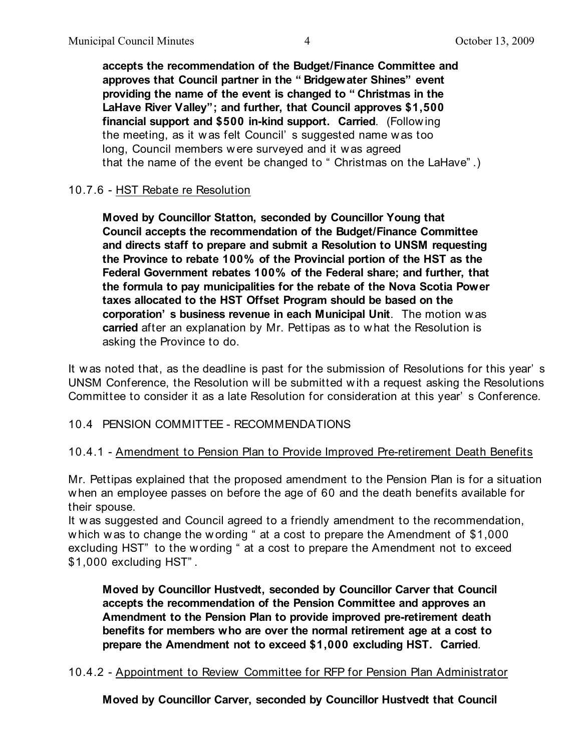**accepts the recommendation of the Budget/Finance Committee and approves that Council partner in the " Bridgewater Shines" event providing the name of the event is changed to " Christmas in the LaHave River Valley"; and further, that Council approves \$1,500 financial support and \$500 in-kind support. Carried**. (Follow ing the meeting, as it w as felt Council' s suggested name was too long, Council members w ere surveyed and it w as agreed that the name of the event be changed to " Christmas on the LaHave" .)

# 10.7.6 - HST Rebate re Resolution

**Moved by Councillor Statton, seconded by Councillor Young that Council accepts the recommendation of the Budget/Finance Committee and directs staff to prepare and submit a Resolution to UNSM requesting the Province to rebate 100% of the Provincial portion of the HST as the Federal Government rebates 100% of the Federal share; and further, that the formula to pay municipalities for the rebate of the Nova Scotia Power taxes allocated to the HST Offset Program should be based on the corporation' s business revenue in each Municipal Unit**. The motion w as **carried** after an explanation by Mr. Pettipas as to w hat the Resolution is asking the Province to do.

It w as noted that, as the deadline is past for the submission of Resolutions for this year' s UNSM Conference, the Resolution w ill be submitted with a request asking the Resolutions Committee to consider it as a late Resolution for consideration at this year' s Conference.

# 10.4 PENSION COMMITTEE - RECOMMENDATIONS

## 10.4.1 - Amendment to Pension Plan to Provide Improved Pre-retirement Death Benefits

Mr. Pettipas explained that the proposed amendment to the Pension Plan is for a situation w hen an employee passes on before the age of 60 and the death benefits available for their spouse.

It w as suggested and Council agreed to a friendly amendment to the recommendation, which was to change the wording " at a cost to prepare the Amendment of \$1,000 excluding HST" to the wording " at a cost to prepare the Amendment not to exceed \$1,000 excluding HST" .

**Moved by Councillor Hustvedt, seconded by Councillor Carver that Council accepts the recommendation of the Pension Committee and approves an Amendment to the Pension Plan to provide improved pre-retirement death benefits for members who are over the normal retirement age at a cost to prepare the Amendment not to exceed \$1,000 excluding HST. Carried**.

## 10.4.2 - Appointment to Review Committee for RFP for Pension Plan Administrator

**Moved by Councillor Carver, seconded by Councillor Hustvedt that Council**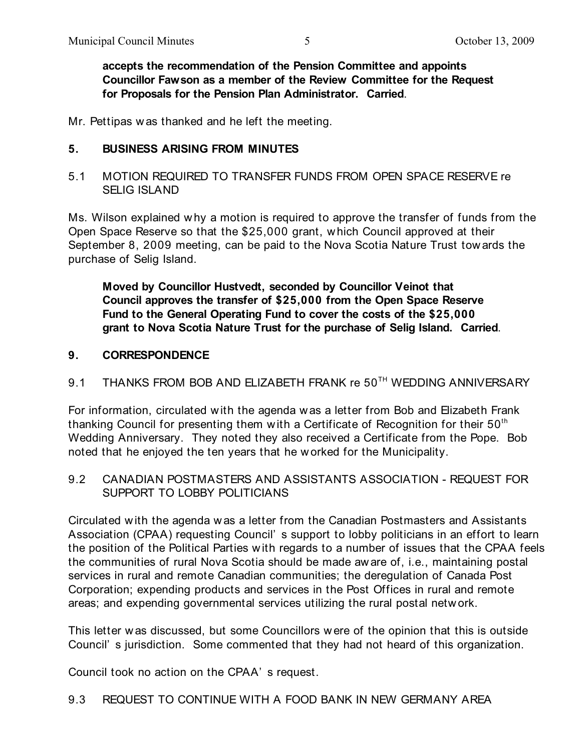**accepts the recommendation of the Pension Committee and appoints Councillor Fawson as a member of the Review Committee for the Request for Proposals for the Pension Plan Administrator. Carried**.

Mr. Pettipas w as thanked and he left the meeting.

## **5. BUSINESS ARISING FROM MINUTES**

# 5.1 MOTION REQUIRED TO TRANSFER FUNDS FROM OPEN SPACE RESERVE re SELIG ISLAND

Ms. Wilson explained why a motion is required to approve the transfer of funds from the Open Space Reserve so that the \$25,000 grant, w hich Council approved at their September 8, 2009 meeting, can be paid to the Nova Scotia Nature Trust tow ards the purchase of Selig Island.

**Moved by Councillor Hustvedt, seconded by Councillor Veinot that Council approves the transfer of \$25,000 from the Open Space Reserve Fund to the General Operating Fund to cover the costs of the \$25,000 grant to Nova Scotia Nature Trust for the purchase of Selig Island. Carried**.

## **9. CORRESPONDENCE**

# $9.1\quad$  THANKS FROM BOB AND ELIZABETH FRANK re  $50^{ \text{\tiny TH}}$  WEDDING ANNIVERSARY

For information, circulated with the agenda w as a letter from Bob and Elizabeth Frank thanking Council for presenting them with a Certificate of Recognition for their 50<sup>th</sup> Wedding Anniversary. They noted they also received a Certificate from the Pope. Bob noted that he enjoyed the ten years that he w orked for the Municipality.

# 9.2 CANADIAN POSTMASTERS AND ASSISTANTS ASSOCIATION - REQUEST FOR SUPPORT TO LOBBY POLITICIANS

Circulated with the agenda w as a letter from the Canadian Postmasters and Assistants Association (CPAA) requesting Council' s support to lobby politicians in an effort to learn the position of the Political Parties w ith regards to a number of issues that the CPAA feels the communities of rural Nova Scotia should be made aware of, i.e., maintaining postal services in rural and remote Canadian communities; the deregulation of Canada Post Corporation; expending products and services in the Post Offices in rural and remote areas; and expending governmental services utilizing the rural postal netw ork.

This letter w as discussed, but some Councillors w ere of the opinion that this is outside Council' s jurisdiction. Some commented that they had not heard of this organization.

Council took no action on the CPAA' s request.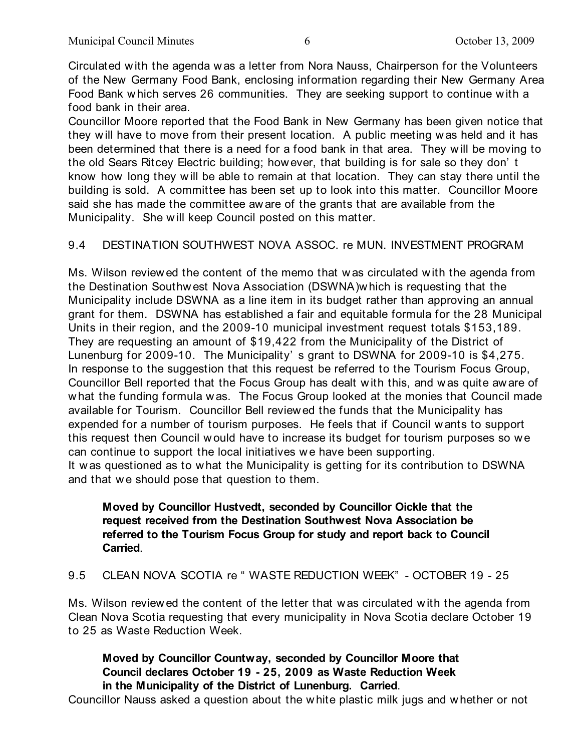Circulated w ith the agenda w as a letter from Nora Nauss, Chairperson for the Volunteers of the New Germany Food Bank, enclosing information regarding their New Germany Area Food Bank w hich serves 26 communities. They are seeking support to continue w ith a food bank in their area.

Councillor Moore reported that the Food Bank in New Germany has been given notice that they w ill have to move from their present location. A public meeting w as held and it has been determined that there is a need for a food bank in that area. They w ill be moving to the old Sears Ritcey Electric building; however, that building is for sale so they don' t know how long they w ill be able to remain at that location. They can stay there until the building is sold. A committee has been set up to look into this matter. Councillor Moore said she has made the committee aw are of the grants that are available from the Municipality. She w ill keep Council posted on this matter.

# 9.4 DESTINATION SOUTHWEST NOVA ASSOC. re MUN. INVESTMENT PROGRAM

Ms. Wilson review ed the content of the memo that w as circulated with the agenda from the Destination Southw est Nova Association (DSWNA)which is requesting that the Municipality include DSWNA as a line item in its budget rather than approving an annual grant for them. DSWNA has established a fair and equitable formula for the 28 Municipal Units in their region, and the 2009-10 municipal investment request totals \$153,189. They are requesting an amount of \$19,422 from the Municipality of the District of Lunenburg for 2009-10. The Municipality' s grant to DSWNA for 2009-10 is \$4,275. In response to the suggestion that this request be referred to the Tourism Focus Group, Councillor Bell reported that the Focus Group has dealt w ith this, and was quite aw are of w hat the funding formula w as. The Focus Group looked at the monies that Council made available for Tourism. Councillor Bell reviewed the funds that the Municipality has expended for a number of tourism purposes. He feels that if Council w ants to support this request then Council w ould have to increase its budget for tourism purposes so w e can continue to support the local initiatives we have been supporting. It was questioned as to what the Municipality is getting for its contribution to DSWNA and that we should pose that question to them.

# **Moved by Councillor Hustvedt, seconded by Councillor Oickle that the request received from the Destination Southwest Nova Association be referred to the Tourism Focus Group for study and report back to Council Carried**.

9.5 CLEAN NOVA SCOTIA re " WASTE REDUCTION WEEK" - OCTOBER 19 - 25

Ms. Wilson review ed the content of the letter that w as circulated with the agenda from Clean Nova Scotia requesting that every municipality in Nova Scotia declare October 19 to 25 as Waste Reduction Week.

# **Moved by Councillor Countway, seconded by Councillor Moore that Council declares October 19 - 25, 2009 as Waste Reduction Week in the Municipality of the District of Lunenburg. Carried**.

Councillor Nauss asked a question about the w hite plastic milk jugs and whether or not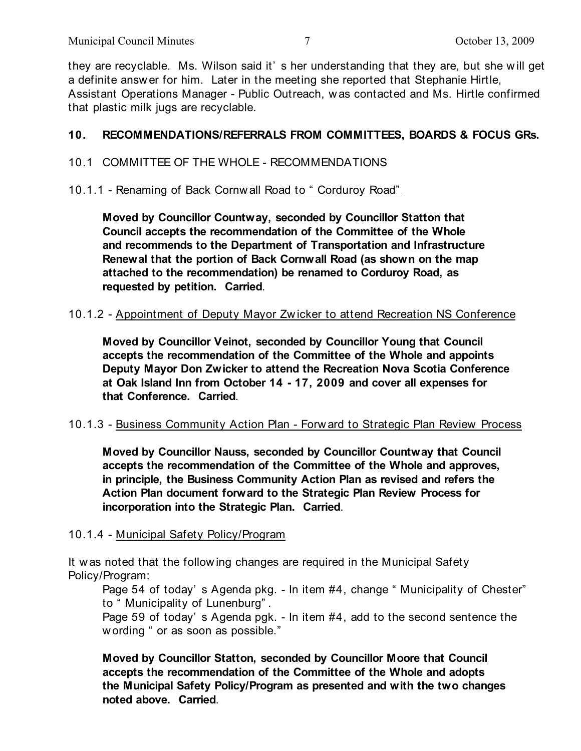they are recyclable. Ms. Wilson said it' s her understanding that they are, but she will get a definite answ er for him. Later in the meeting she reported that Stephanie Hirtle, Assistant Operations Manager - Public Outreach, was contacted and Ms. Hirtle confirmed that plastic milk jugs are recyclable.

# **10. RECOMMENDATIONS/REFERRALS FROM COMMITTEES, BOARDS & FOCUS GRs.**

## 10.1 COMMITTEE OF THE WHOLE - RECOMMENDATIONS

### 10.1.1 - Renaming of Back Cornw all Road to " Corduroy Road"

**Moved by Councillor Countway, seconded by Councillor Statton that Council accepts the recommendation of the Committee of the Whole and recommends to the Department of Transportation and Infrastructure Renewal that the portion of Back Cornwall Road (as shown on the map attached to the recommendation) be renamed to Corduroy Road, as requested by petition. Carried**.

#### 10.1.2 - Appointment of Deputy Mayor Zw icker to attend Recreation NS Conference

**Moved by Councillor Veinot, seconded by Councillor Young that Council accepts the recommendation of the Committee of the Whole and appoints Deputy Mayor Don Zwicker to attend the Recreation Nova Scotia Conference at Oak Island Inn from October 14 - 17, 2009 and cover all expenses for that Conference. Carried**.

#### 10.1.3 - Business Community Action Plan - Forw ard to Strategic Plan Review Process

**Moved by Councillor Nauss, seconded by Councillor Countway that Council accepts the recommendation of the Committee of the Whole and approves, in principle, the Business Community Action Plan as revised and refers the Action Plan document forward to the Strategic Plan Review Process for incorporation into the Strategic Plan. Carried**.

#### 10.1.4 - Municipal Safety Policy/Program

It w as noted that the follow ing changes are required in the Municipal Safety Policy/Program:

Page 54 of today's Agenda pkg. - In item #4, change "Municipality of Chester" to " Municipality of Lunenburg" .

Page 59 of today' s Agenda pgk. - In item #4, add to the second sentence the w ording " or as soon as possible."

**Moved by Councillor Statton, seconded by Councillor Moore that Council accepts the recommendation of the Committee of the Whole and adopts the Municipal Safety Policy/Program as presented and with the two changes noted above. Carried**.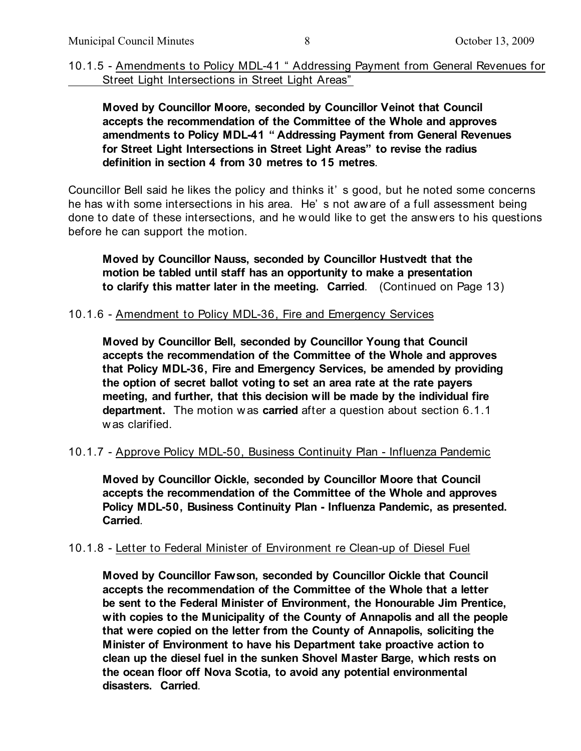10.1.5 - Amendments to Policy MDL-41 " Addressing Payment from General Revenues for Street Light Intersections in Street Light Areas"

**Moved by Councillor Moore, seconded by Councillor Veinot that Council accepts the recommendation of the Committee of the Whole and approves amendments to Policy MDL-41 " Addressing Payment from General Revenues for Street Light Intersections in Street Light Areas" to revise the radius definition in section 4 from 30 metres to 15 metres**.

Councillor Bell said he likes the policy and thinks it' s good, but he noted some concerns he has w ith some intersections in his area. He' s not aw are of a full assessment being done to date of these intersections, and he w ould like to get the answ ers to his questions before he can support the motion.

**Moved by Councillor Nauss, seconded by Councillor Hustvedt that the motion be tabled until staff has an opportunity to make a presentation to clarify this matter later in the meeting. Carried**. (Continued on Page 13)

#### 10.1.6 - Amendment to Policy MDL-36, Fire and Emergency Services

**Moved by Councillor Bell, seconded by Councillor Young that Council accepts the recommendation of the Committee of the Whole and approves that Policy MDL-36, Fire and Emergency Services, be amended by providing the option of secret ballot voting to set an area rate at the rate payers meeting, and further, that this decision will be made by the individual fire department.** The motion w as **carried** after a question about section 6.1.1 w as clarified.

#### 10.1.7 - Approve Policy MDL-50, Business Continuity Plan - Influenza Pandemic

**Moved by Councillor Oickle, seconded by Councillor Moore that Council accepts the recommendation of the Committee of the Whole and approves Policy MDL-50, Business Continuity Plan - Influenza Pandemic, as presented. Carried**.

#### 10.1.8 - Letter to Federal Minister of Environment re Clean-up of Diesel Fuel

**Moved by Councillor Fawson, seconded by Councillor Oickle that Council accepts the recommendation of the Committee of the Whole that a letter be sent to the Federal Minister of Environment, the Honourable Jim Prentice, with copies to the Municipality of the County of Annapolis and all the people that were copied on the letter from the County of Annapolis, soliciting the Minister of Environment to have his Department take proactive action to clean up the diesel fuel in the sunken Shovel Master Barge, which rests on the ocean floor off Nova Scotia, to avoid any potential environmental disasters. Carried**.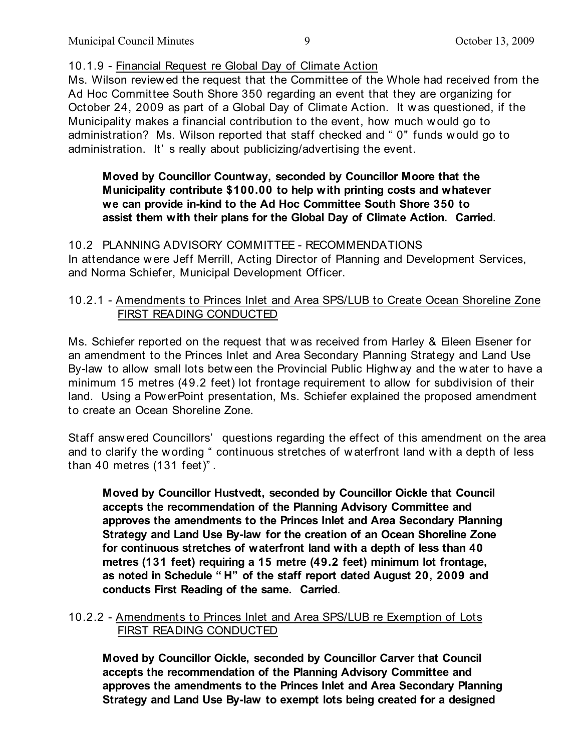## 10.1.9 - Financial Request re Global Day of Climate Action

Ms. Wilson review ed the request that the Committee of the Whole had received from the Ad Hoc Committee South Shore 350 regarding an event that they are organizing for October 24, 2009 as part of a Global Day of Climate Action. It w as questioned, if the Municipality makes a financial contribution to the event, how much would go to administration? Ms. Wilson reported that staff checked and " 0" funds w ould go to administration. It' s really about publicizing/advertising the event.

# **Moved by Councillor Countway, seconded by Councillor Moore that the Municipality contribute \$100.00 to help with printing costs and whatever we can provide in-kind to the Ad Hoc Committee South Shore 350 to assist them with their plans for the Global Day of Climate Action. Carried**.

10.2 PLANNING ADVISORY COMMITTEE - RECOMMENDATIONS In attendance w ere Jeff Merrill, Acting Director of Planning and Development Services, and Norma Schiefer, Municipal Development Officer.

# 10.2.1 - Amendments to Princes Inlet and Area SPS/LUB to Create Ocean Shoreline Zone FIRST READING CONDUCTED

Ms. Schiefer reported on the request that w as received from Harley & Eileen Eisener for an amendment to the Princes Inlet and Area Secondary Planning Strategy and Land Use By-law to allow small lots betw een the Provincial Public Highw ay and the water to have a minimum 15 metres (49.2 feet) lot frontage requirement to allow for subdivision of their land. Using a Pow erPoint presentation, Ms. Schiefer explained the proposed amendment to create an Ocean Shoreline Zone.

Staff answ ered Councillors' questions regarding the effect of this amendment on the area and to clarify the w ording " continuous stretches of w aterfront land w ith a depth of less than 40 metres (131 feet)" .

**Moved by Councillor Hustvedt, seconded by Councillor Oickle that Council accepts the recommendation of the Planning Advisory Committee and approves the amendments to the Princes Inlet and Area Secondary Planning Strategy and Land Use By-law for the creation of an Ocean Shoreline Zone for continuous stretches of waterfront land with a depth of less than 40 metres (131 feet) requiring a 15 metre (49.2 feet) minimum lot frontage, as noted in Schedule " H" of the staff report dated August 20, 2009 and conducts First Reading of the same. Carried**.

# 10.2.2 - Amendments to Princes Inlet and Area SPS/LUB re Exemption of Lots FIRST READING CONDUCTED

**Moved by Councillor Oickle, seconded by Councillor Carver that Council accepts the recommendation of the Planning Advisory Committee and approves the amendments to the Princes Inlet and Area Secondary Planning Strategy and Land Use By-law to exempt lots being created for a designed**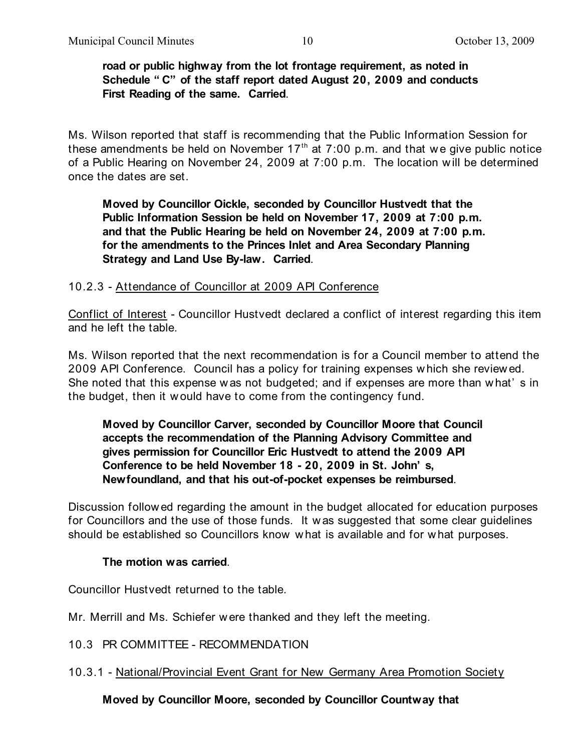### **road or public highway from the lot frontage requirement, as noted in Schedule " C" of the staff report dated August 20, 2009 and conducts First Reading of the same. Carried**.

Ms. Wilson reported that staff is recommending that the Public Information Session for these amendments be held on November  $17<sup>th</sup>$  at  $7:00$  p.m. and that we give public notice of a Public Hearing on November 24, 2009 at 7:00 p.m. The location w ill be determined once the dates are set.

**Moved by Councillor Oickle, seconded by Councillor Hustvedt that the Public Information Session be held on November 17, 2009 at 7:00 p.m. and that the Public Hearing be held on November 24, 2009 at 7:00 p.m. for the amendments to the Princes Inlet and Area Secondary Planning Strategy and Land Use By-law. Carried**.

## 10.2.3 - Attendance of Councillor at 2009 API Conference

Conflict of Interest - Councillor Hustvedt declared a conflict of interest regarding this item and he left the table.

Ms. Wilson reported that the next recommendation is for a Council member to attend the 2009 API Conference. Council has a policy for training expenses w hich she review ed. She noted that this expense w as not budgeted; and if expenses are more than w hat' s in the budget, then it w ould have to come from the contingency fund.

**Moved by Councillor Carver, seconded by Councillor Moore that Council accepts the recommendation of the Planning Advisory Committee and gives permission for Councillor Eric Hustvedt to attend the 2009 API Conference to be held November 18 - 20, 2009 in St. John' s, Newfoundland, and that his out-of-pocket expenses be reimbursed**.

Discussion follow ed regarding the amount in the budget allocated for education purposes for Councillors and the use of those funds. It w as suggested that some clear guidelines should be established so Councillors know w hat is available and for w hat purposes.

#### **The motion was carried**.

Councillor Hustvedt returned to the table.

Mr. Merrill and Ms. Schiefer w ere thanked and they left the meeting.

10.3 PR COMMITTEE - RECOMMENDATION

10.3.1 - National/Provincial Event Grant for New Germany Area Promotion Society

**Moved by Councillor Moore, seconded by Councillor Countway that**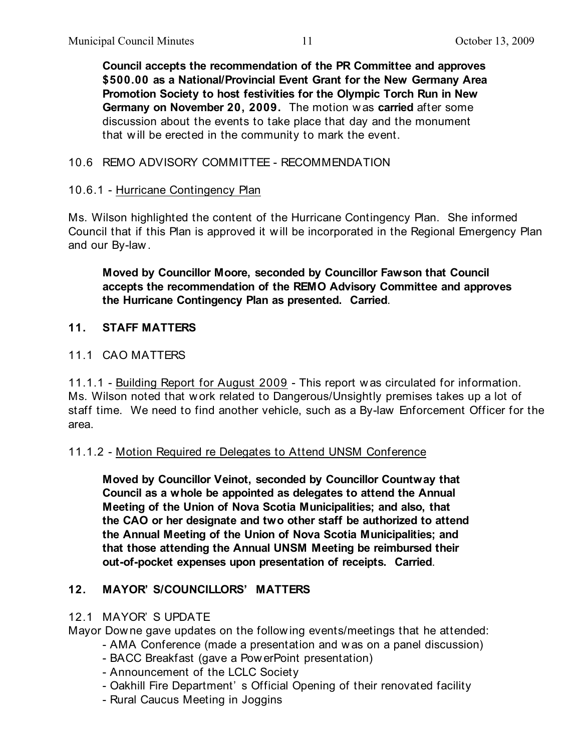**Council accepts the recommendation of the PR Committee and approves \$500.00 as a National/Provincial Event Grant for the New Germany Area Promotion Society to host festivities for the Olympic Torch Run in New Germany on November 20, 2009.** The motion w as **carried** after some discussion about the events to take place that day and the monument that w ill be erected in the community to mark the event.

# 10.6 REMO ADVISORY COMMITTEE - RECOMMENDATION

## 10.6.1 - Hurricane Contingency Plan

Ms. Wilson highlighted the content of the Hurricane Contingency Plan. She informed Council that if this Plan is approved it w ill be incorporated in the Regional Emergency Plan and our By-law .

**Moved by Councillor Moore, seconded by Councillor Fawson that Council accepts the recommendation of the REMO Advisory Committee and approves the Hurricane Contingency Plan as presented. Carried**.

### **11. STAFF MATTERS**

### 11.1 CAO MATTERS

11.1.1 - Building Report for August 2009 - This report w as circulated for information. Ms. Wilson noted that w ork related to Dangerous/Unsightly premises takes up a lot of staff time. We need to find another vehicle, such as a By-law Enforcement Officer for the area.

#### 11.1.2 - Motion Required re Delegates to Attend UNSM Conference

**Moved by Councillor Veinot, seconded by Councillor Countway that Council as a whole be appointed as delegates to attend the Annual Meeting of the Union of Nova Scotia Municipalities; and also, that the CAO or her designate and two other staff be authorized to attend the Annual Meeting of the Union of Nova Scotia Municipalities; and that those attending the Annual UNSM Meeting be reimbursed their out-of-pocket expenses upon presentation of receipts. Carried**.

## **12. MAYOR' S/COUNCILLORS' MATTERS**

#### 12.1 MAYOR' S UPDATE

Mayor Dow ne gave updates on the follow ing events/meetings that he attended:

- AMA Conference (made a presentation and was on a panel discussion)
- BACC Breakfast (gave a Pow erPoint presentation)
- Announcement of the LCLC Society
- Oakhill Fire Department' s Official Opening of their renovated facility
- Rural Caucus Meeting in Joggins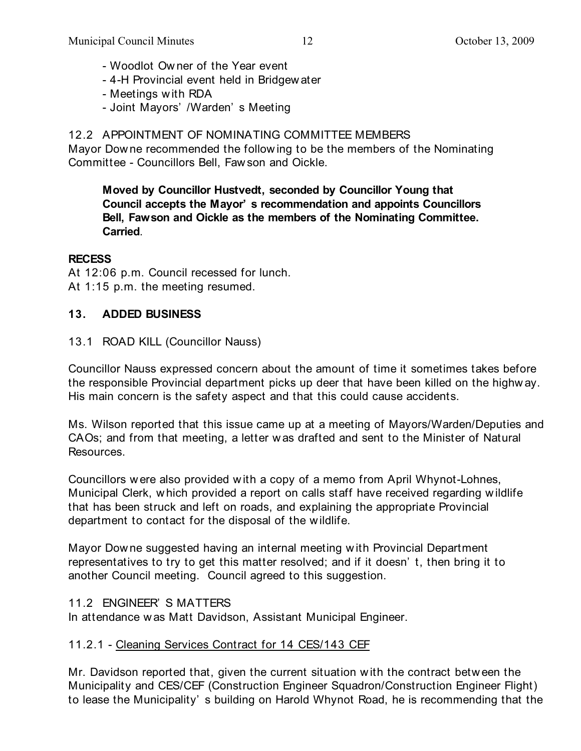- Woodlot Ow ner of the Year event
- 4-H Provincial event held in Bridgew ater
- Meetings w ith RDA
- Joint Mayors' /Warden' s Meeting

# 12.2 APPOINTMENT OF NOMINATING COMMITTEE MEMBERS

Mayor Dow ne recommended the follow ing to be the members of the Nominating Committee - Councillors Bell, Faw son and Oickle.

**Moved by Councillor Hustvedt, seconded by Councillor Young that Council accepts the Mayor' s recommendation and appoints Councillors Bell, Fawson and Oickle as the members of the Nominating Committee. Carried**.

## **RECESS**

At 12:06 p.m. Council recessed for lunch. At 1:15 p.m. the meeting resumed.

# **13. ADDED BUSINESS**

# 13.1 ROAD KILL (Councillor Nauss)

Councillor Nauss expressed concern about the amount of time it sometimes takes before the responsible Provincial department picks up deer that have been killed on the highw ay. His main concern is the safety aspect and that this could cause accidents.

Ms. Wilson reported that this issue came up at a meeting of Mayors/Warden/Deputies and CAOs; and from that meeting, a letter w as drafted and sent to the Minister of Natural Resources.

Councillors w ere also provided w ith a copy of a memo from April Whynot-Lohnes, Municipal Clerk, w hich provided a report on calls staff have received regarding w ildlife that has been struck and left on roads, and explaining the appropriate Provincial department to contact for the disposal of the wildlife.

Mayor Dow ne suggested having an internal meeting w ith Provincial Department representatives to try to get this matter resolved; and if it doesn' t, then bring it to another Council meeting. Council agreed to this suggestion.

## 11.2 ENGINEER' S MATTERS

In attendance w as Matt Davidson, Assistant Municipal Engineer.

# 11.2.1 - Cleaning Services Contract for 14 CES/143 CEF

Mr. Davidson reported that, given the current situation w ith the contract betw een the Municipality and CES/CEF (Construction Engineer Squadron/Construction Engineer Flight) to lease the Municipality' s building on Harold Whynot Road, he is recommending that the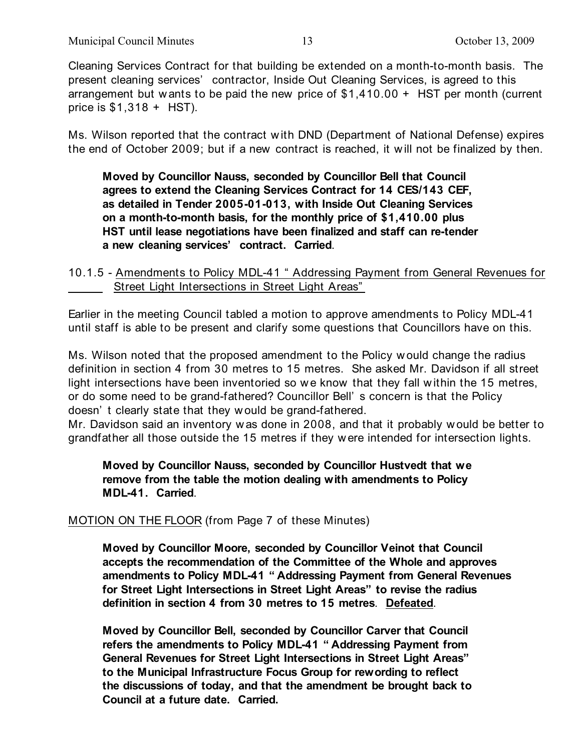Cleaning Services Contract for that building be extended on a month-to-month basis. The present cleaning services' contractor, Inside Out Cleaning Services, is agreed to this arrangement but w ants to be paid the new price of \$1,410.00 + HST per month (current price is  $$1,318 + HST$ ).

Ms. Wilson reported that the contract w ith DND (Department of National Defense) expires the end of October 2009; but if a new contract is reached, it w ill not be finalized by then.

**Moved by Councillor Nauss, seconded by Councillor Bell that Council agrees to extend the Cleaning Services Contract for 14 CES/143 CEF, as detailed in Tender 2005-01-013, with Inside Out Cleaning Services on a month-to-month basis, for the monthly price of \$1,410.00 plus HST until lease negotiations have been finalized and staff can re-tender a new cleaning services' contract. Carried**.

10.1.5 - Amendments to Policy MDL-41 " Addressing Payment from General Revenues for Street Light Intersections in Street Light Areas"

Earlier in the meeting Council tabled a motion to approve amendments to Policy MDL-41 until staff is able to be present and clarify some questions that Councillors have on this.

Ms. Wilson noted that the proposed amendment to the Policy w ould change the radius definition in section 4 from 30 metres to 15 metres. She asked Mr. Davidson if all street light intersections have been inventoried so we know that they fall within the 15 metres, or do some need to be grand-fathered? Councillor Bell' s concern is that the Policy doesn' t clearly state that they w ould be grand-fathered.

Mr. Davidson said an inventory w as done in 2008, and that it probably w ould be better to grandfather all those outside the 15 metres if they w ere intended for intersection lights.

**Moved by Councillor Nauss, seconded by Councillor Hustvedt that we remove from the table the motion dealing with amendments to Policy MDL-41. Carried**.

# MOTION ON THE FLOOR (from Page 7 of these Minutes)

**Moved by Councillor Moore, seconded by Councillor Veinot that Council accepts the recommendation of the Committee of the Whole and approves amendments to Policy MDL-41 " Addressing Payment from General Revenues for Street Light Intersections in Street Light Areas" to revise the radius definition in section 4 from 30 metres to 15 metres**. **Defeated**.

**Moved by Councillor Bell, seconded by Councillor Carver that Council refers the amendments to Policy MDL-41 " Addressing Payment from General Revenues for Street Light Intersections in Street Light Areas" to the Municipal Infrastructure Focus Group for rewording to reflect the discussions of today, and that the amendment be brought back to Council at a future date. Carried.**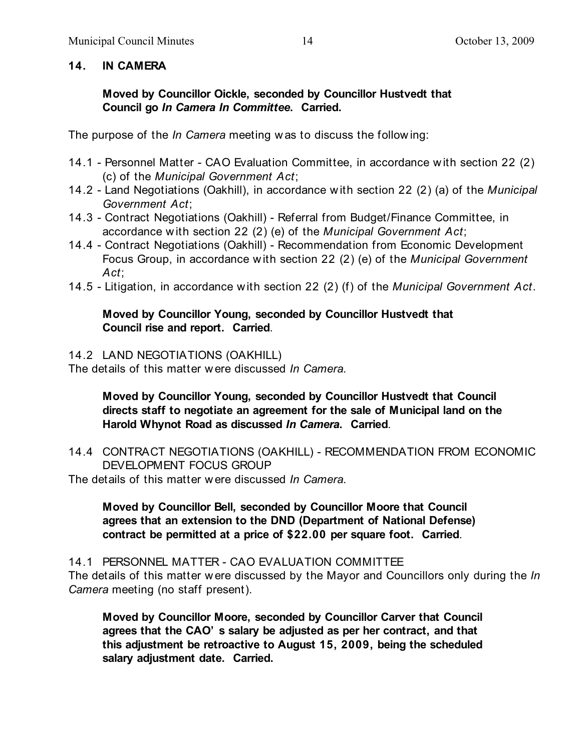# **14. IN CAMERA**

**Moved by Councillor Oickle, seconded by Councillor Hustvedt that Council go** *In Camera In Committee***. Carried.**

The purpose of the *In Camera* meeting w as to discuss the follow ing:

- 14.1 Personnel Matter CAO Evaluation Committee, in accordance w ith section 22 (2) (c) of the *Municipal Government Act*;
- 14.2 Land Negotiations (Oakhill), in accordance with section 22 (2) (a) of the *Municipal Government Act*;
- 14.3 Contract Negotiations (Oakhill) Referral from Budget/Finance Committee, in accordance with section 22 (2) (e) of the *Municipal Government Act*;
- 14.4 Contract Negotiations (Oakhill) Recommendation from Economic Development Focus Group, in accordance with section 22 (2) (e) of the *Municipal Government Act*;
- 14.5 Litigation, in accordance with section 22 (2) (f) of the *Municipal Government Act*.

## **Moved by Councillor Young, seconded by Councillor Hustvedt that Council rise and report. Carried**.

14.2 LAND NEGOTIATIONS (OAKHILL)

The details of this matter w ere discussed *In Camera*.

**Moved by Councillor Young, seconded by Councillor Hustvedt that Council directs staff to negotiate an agreement for the sale of Municipal land on the Harold Whynot Road as discussed** *In Camera***. Carried**.

14.4 CONTRACT NEGOTIATIONS (OAKHILL) - RECOMMENDATION FROM ECONOMIC DEVELOPMENT FOCUS GROUP

The details of this matter w ere discussed *In Camera*.

**Moved by Councillor Bell, seconded by Councillor Moore that Council agrees that an extension to the DND (Department of National Defense) contract be permitted at a price of \$22.00 per square foot. Carried**.

14.1 PERSONNEL MATTER - CAO EVALUATION COMMITTEE The details of this matter w ere discussed by the Mayor and Councillors only during the *In Camera* meeting (no staff present).

**Moved by Councillor Moore, seconded by Councillor Carver that Council agrees that the CAO' s salary be adjusted as per her contract, and that this adjustment be retroactive to August 15, 2009, being the scheduled salary adjustment date. Carried.**